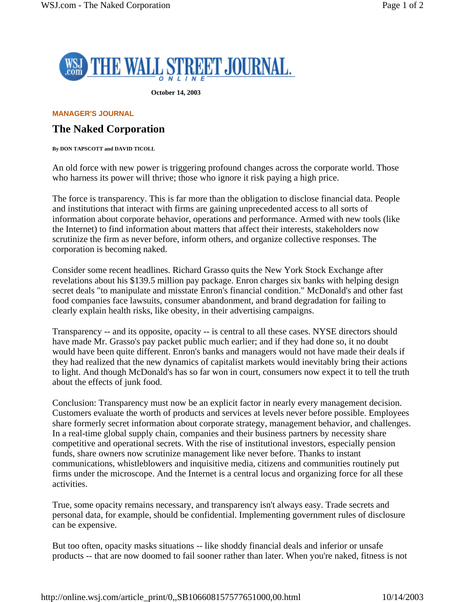

**October 14, 2003** 

## **MANAGER'S JOURNAL**

## **The Naked Corporation**

**By DON TAPSCOTT and DAVID TICOLL** 

An old force with new power is triggering profound changes across the corporate world. Those who harness its power will thrive; those who ignore it risk paying a high price.

The force is transparency. This is far more than the obligation to disclose financial data. People and institutions that interact with firms are gaining unprecedented access to all sorts of information about corporate behavior, operations and performance. Armed with new tools (like the Internet) to find information about matters that affect their interests, stakeholders now scrutinize the firm as never before, inform others, and organize collective responses. The corporation is becoming naked.

Consider some recent headlines. Richard Grasso quits the New York Stock Exchange after revelations about his \$139.5 million pay package. Enron charges six banks with helping design secret deals "to manipulate and misstate Enron's financial condition." McDonald's and other fast food companies face lawsuits, consumer abandonment, and brand degradation for failing to clearly explain health risks, like obesity, in their advertising campaigns.

Transparency -- and its opposite, opacity -- is central to all these cases. NYSE directors should have made Mr. Grasso's pay packet public much earlier; and if they had done so, it no doubt would have been quite different. Enron's banks and managers would not have made their deals if they had realized that the new dynamics of capitalist markets would inevitably bring their actions to light. And though McDonald's has so far won in court, consumers now expect it to tell the truth about the effects of junk food.

Conclusion: Transparency must now be an explicit factor in nearly every management decision. Customers evaluate the worth of products and services at levels never before possible. Employees share formerly secret information about corporate strategy, management behavior, and challenges. In a real-time global supply chain, companies and their business partners by necessity share competitive and operational secrets. With the rise of institutional investors, especially pension funds, share owners now scrutinize management like never before. Thanks to instant communications, whistleblowers and inquisitive media, citizens and communities routinely put firms under the microscope. And the Internet is a central locus and organizing force for all these activities.

True, some opacity remains necessary, and transparency isn't always easy. Trade secrets and personal data, for example, should be confidential. Implementing government rules of disclosure can be expensive.

But too often, opacity masks situations -- like shoddy financial deals and inferior or unsafe products -- that are now doomed to fail sooner rather than later. When you're naked, fitness is not